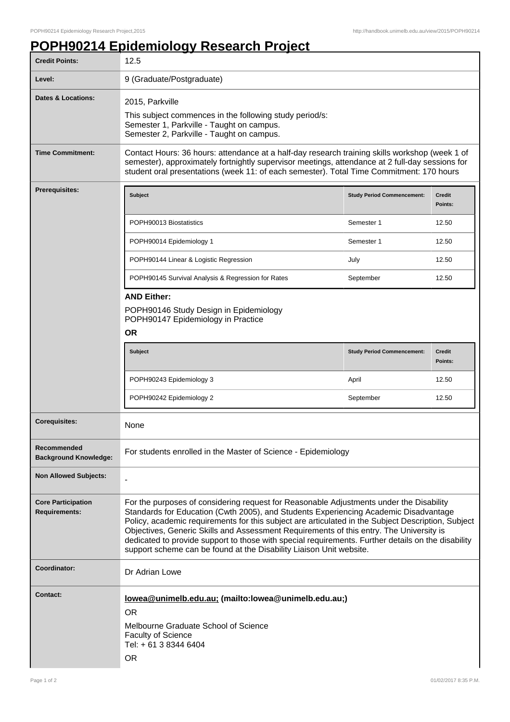## **POPH90214 Epidemiology Research Project**

| <b>Credit Points:</b>                             | 12.5                                                                                                                                                                                                                                                                                                                                                                                                                                                                                                                                                          |                                   |                          |
|---------------------------------------------------|---------------------------------------------------------------------------------------------------------------------------------------------------------------------------------------------------------------------------------------------------------------------------------------------------------------------------------------------------------------------------------------------------------------------------------------------------------------------------------------------------------------------------------------------------------------|-----------------------------------|--------------------------|
| Level:                                            | 9 (Graduate/Postgraduate)                                                                                                                                                                                                                                                                                                                                                                                                                                                                                                                                     |                                   |                          |
| <b>Dates &amp; Locations:</b>                     | 2015, Parkville<br>This subject commences in the following study period/s:<br>Semester 1, Parkville - Taught on campus.<br>Semester 2, Parkville - Taught on campus.                                                                                                                                                                                                                                                                                                                                                                                          |                                   |                          |
| <b>Time Commitment:</b>                           | Contact Hours: 36 hours: attendance at a half-day research training skills workshop (week 1 of<br>semester), approximately fortnightly supervisor meetings, attendance at 2 full-day sessions for<br>student oral presentations (week 11: of each semester). Total Time Commitment: 170 hours                                                                                                                                                                                                                                                                 |                                   |                          |
| <b>Prerequisites:</b>                             | <b>Subject</b>                                                                                                                                                                                                                                                                                                                                                                                                                                                                                                                                                | <b>Study Period Commencement:</b> | <b>Credit</b><br>Points: |
|                                                   | POPH90013 Biostatistics                                                                                                                                                                                                                                                                                                                                                                                                                                                                                                                                       | Semester 1                        | 12.50                    |
|                                                   | POPH90014 Epidemiology 1                                                                                                                                                                                                                                                                                                                                                                                                                                                                                                                                      | Semester 1                        | 12.50                    |
|                                                   | POPH90144 Linear & Logistic Regression                                                                                                                                                                                                                                                                                                                                                                                                                                                                                                                        | July                              | 12.50                    |
|                                                   | POPH90145 Survival Analysis & Regression for Rates                                                                                                                                                                                                                                                                                                                                                                                                                                                                                                            | September                         | 12.50                    |
|                                                   | <b>AND Either:</b><br>POPH90146 Study Design in Epidemiology<br>POPH90147 Epidemiology in Practice<br><b>OR</b>                                                                                                                                                                                                                                                                                                                                                                                                                                               |                                   |                          |
|                                                   | Subject                                                                                                                                                                                                                                                                                                                                                                                                                                                                                                                                                       | <b>Study Period Commencement:</b> | <b>Credit</b><br>Points: |
|                                                   | POPH90243 Epidemiology 3                                                                                                                                                                                                                                                                                                                                                                                                                                                                                                                                      | April                             | 12.50                    |
|                                                   | POPH90242 Epidemiology 2                                                                                                                                                                                                                                                                                                                                                                                                                                                                                                                                      | September                         | 12.50                    |
| <b>Corequisites:</b>                              | None                                                                                                                                                                                                                                                                                                                                                                                                                                                                                                                                                          |                                   |                          |
| Recommended<br><b>Background Knowledge:</b>       | For students enrolled in the Master of Science - Epidemiology                                                                                                                                                                                                                                                                                                                                                                                                                                                                                                 |                                   |                          |
| <b>Non Allowed Subjects:</b>                      |                                                                                                                                                                                                                                                                                                                                                                                                                                                                                                                                                               |                                   |                          |
| <b>Core Participation</b><br><b>Requirements:</b> | For the purposes of considering request for Reasonable Adjustments under the Disability<br>Standards for Education (Cwth 2005), and Students Experiencing Academic Disadvantage<br>Policy, academic requirements for this subject are articulated in the Subject Description, Subject<br>Objectives, Generic Skills and Assessment Requirements of this entry. The University is<br>dedicated to provide support to those with special requirements. Further details on the disability<br>support scheme can be found at the Disability Liaison Unit website. |                                   |                          |
| Coordinator:                                      | Dr Adrian Lowe                                                                                                                                                                                                                                                                                                                                                                                                                                                                                                                                                |                                   |                          |
| <b>Contact:</b>                                   | lowea@unimelb.edu.au; (mailto:lowea@unimelb.edu.au;)<br><b>OR</b><br>Melbourne Graduate School of Science<br><b>Faculty of Science</b><br>Tel: + 61 3 8344 6404<br><b>OR</b>                                                                                                                                                                                                                                                                                                                                                                                  |                                   |                          |
|                                                   |                                                                                                                                                                                                                                                                                                                                                                                                                                                                                                                                                               |                                   |                          |